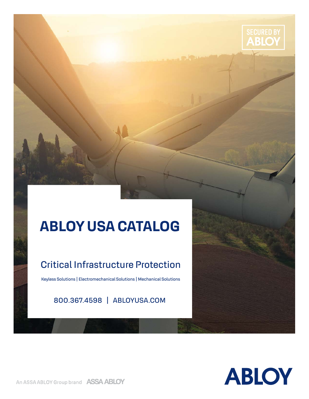

### Critical Infrastructure Protection

Keyless Solutions | Electromechanical Solutions | Mechanical Solutions

800.367.4598 | ABLOYUSA.COM

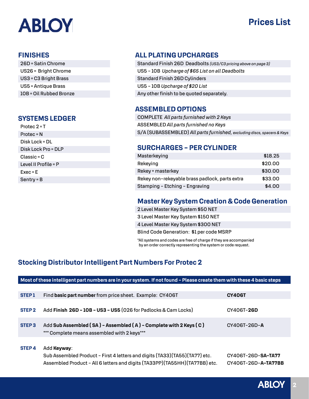### **Prices List**

#### **FINISHES**

| 26D = Satin Chrome      |
|-------------------------|
| US26 = Bright Chrome    |
| US3 = C3 Bright Brass   |
| US5 = Antique Brass     |
| 10B = Oil Rubbed Bronze |

#### **SYSTEMS LEDGER**

| Protec 2 = T         |
|----------------------|
| Protec = N           |
| Disk Lock = DL       |
| Disk Lock Pro = DLP  |
| Classic = C          |
| Level II Profile = P |
| $Exec = E$           |
| Sentry = B           |

### **ALL PLATING UPCHARGES**

Standard Finish 26D Deadbolts *(US3/C3 pricing above on page 3)* US5 - 10B *Upcharge of \$65 List on all Deadbolts* Standard Finish 26D Cylinders US5 - 10B *Upcharge of \$20 List* Any other finish to be quoted separately.

### **ASSEMBLED OPTIONS**

COMPLETE *All parts furnished with 2 Keys* ASSEMBLED *All parts furnished no Keys* S/A (SUBASSEMBLED) *All parts furnished, excluding discs, spacers & Keys*

### **SURCHARGES - PER CYLINDER**

| Masterkeying                                   | \$18.25 |
|------------------------------------------------|---------|
| Rekeying                                       | \$20.00 |
| Rekey + masterkey                              | \$30.00 |
| Rekey non-rekeyable brass padlock, parts extra | \$33.00 |
| Stamping - Etching - Engraving                 | \$4.00  |

### **Master Key System Creation & Code Generation**

2 Level Master Key System \$50 NET 3 Level Master Key System \$150 NET 4 Level Master Key System \$300 NET Blind Code Generation: \$1 per code MSRP

\*All systems and codes are free of charge if they are accompanied by an order correctly representing the system or code request.

### **Stocking Distributor Intelligent Part Numbers For Protec 2**

|                   | Most of these intelligent part numbers are in your system. If not found - Please create them with these 4 basic steps |               |  |  |  |
|-------------------|-----------------------------------------------------------------------------------------------------------------------|---------------|--|--|--|
|                   |                                                                                                                       |               |  |  |  |
| <b>STEP1</b>      | Find basic part number from price sheet. Example: CY406T                                                              | <b>CY406T</b> |  |  |  |
|                   |                                                                                                                       |               |  |  |  |
| STEP <sub>2</sub> | Add Finish 26D - 10B - US3 - US5 (026 for Padlocks & Cam Locks)                                                       | CY406T-26D    |  |  |  |
|                   |                                                                                                                       |               |  |  |  |
| STEP <sub>3</sub> | Add Sub Assembled (SA) - Assembled (A) - Complete with 2 Keys (C)                                                     | CY406T-26D-A  |  |  |  |
|                   | *** Complete means assembled with 2 keys***                                                                           |               |  |  |  |
|                   |                                                                                                                       |               |  |  |  |

**STEP 4** Add **Keyway**:

Sub Assembled Product - First 4 letters and digits (TA33)(TA55)(TA77) etc. CY406T-26D-**SA-TA77** Assembled Product - All 6 letters and digits (TA33PP)(TA55HH)(TA77BB) etc. CY406T-26D-**A-TA77BB**

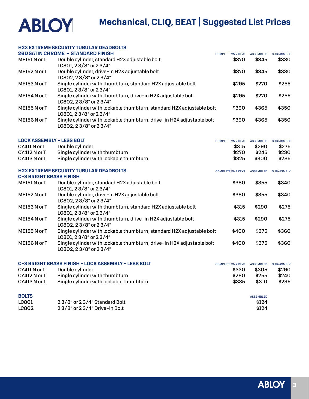

#### **H2X EXTREME SECURITY TUBULAR DEADBOLTS**

|                                  | <u>MZA EATREME ƏEGORITI TUDULAR DEADDULIƏ</u>                         |                        |                  |                   |
|----------------------------------|-----------------------------------------------------------------------|------------------------|------------------|-------------------|
|                                  | <b>26D SATIN CHROME - STANDARD FINISH</b>                             | <b>COMPLETE/W2KEYS</b> | <b>ASSEMBLED</b> | <b>SUB/ASMBLY</b> |
| ME151 N or T                     | Double cylinder, standard H2X adjustable bolt                         | \$370                  | \$345            | \$330             |
|                                  | LC801.23/8" or 23/4"                                                  |                        |                  |                   |
| ME152 N or T                     | Double cylinder, drive-in H2X adjustable bolt                         | \$370                  | \$345            | \$330             |
|                                  | LC802, 23/8" or 23/4"                                                 |                        |                  |                   |
| ME153 N or T                     | Single cylinder with thumbturn, standard H2X adjustable bolt          | \$295                  | \$270            | \$255             |
|                                  | LC801.23/8" or 23/4"                                                  |                        |                  |                   |
| ME154 N or T                     | Single cylinder with thumbturn, drive-in H2X adjustable bolt          | \$295                  | \$270            | \$255             |
|                                  | LC802, 23/8" or 23/4"                                                 |                        |                  |                   |
| ME155 N or T                     | Single cylinder with lockable thumbturn, standard H2X adjustable bolt | \$390                  | \$365            | \$350             |
|                                  | LC801.23/8" or 23/4"                                                  |                        |                  |                   |
| ME156 N or T                     | Single cylinder with lockable thumbturn, drive-in H2X adjustable bolt | \$390                  | \$365            | \$350             |
|                                  | LC802, 23/8" or 23/4"                                                 |                        |                  |                   |
|                                  |                                                                       |                        |                  |                   |
| <b>LOCK ASSEMBLY - LESS BOLT</b> |                                                                       | <b>COMPLETE/W2KEYS</b> | <b>ASSEMBLED</b> | <b>SUB/ASMBLY</b> |
| CY411 N or T                     | Double cylinder                                                       | \$315                  | \$290            | \$275             |
| CY412 N or T                     | Single cylinder with thumbturn                                        | \$270                  | \$245            | \$230             |
| CY413 N or T                     | Single cylinder with lockable thumbturn                               | \$325                  | \$300            | \$285             |

| <b>H2X EXTREME SECURITY TUBULAR DEADBOLTS</b> |                                                                                                | <b>COMPLETE/W2KEYS</b> | <b>ASSEMBLED</b> | <b>SUB/ASMBLY</b> |
|-----------------------------------------------|------------------------------------------------------------------------------------------------|------------------------|------------------|-------------------|
| <b>C-3 BRIGHT BRASS FINISH</b>                |                                                                                                |                        |                  |                   |
| ME151 N or T                                  | Double cylinder, standard H2X adjustable bolt<br>LC801, 23/8" or 23/4"                         | \$380                  | \$355            | \$340             |
| ME152 N or T                                  | Double cylinder, drive-in H2X adjustable bolt<br>LC802, 23/8" or 23/4"                         | \$380                  | \$355            | \$340             |
| ME153 N or T                                  | Single cylinder with thumbturn, standard H2X adjustable bolt<br>LC801, 23/8" or 23/4"          | \$315                  | \$290            | \$275             |
| ME154 N or T                                  | Single cylinder with thumbturn, drive-in H2X adjustable bolt<br>LC802, 23/8" or 23/4"          | \$315                  | \$290            | \$275             |
| ME155 N or T                                  | Single cylinder with lockable thumbturn, standard H2X adjustable bolt<br>LC801, 23/8" or 23/4" | \$400                  | \$375            | \$360             |
| ME156 N or T                                  | Single cylinder with lockable thumbturn, drive-in H2X adjustable bolt<br>LC802, 23/8" or 23/4" | \$400                  | \$375            | \$360             |

| C-3 BRIGHT BRASS FINISH - LOCK ASSEMBLY - LESS BOLT |                                         | <b>COMPLETE/W2KEYS</b> | <b>ASSEMBLED</b> | SUB/ASMBLY |
|-----------------------------------------------------|-----------------------------------------|------------------------|------------------|------------|
| CY411 N or T                                        | Double cylinder                         | \$330                  | \$305            | \$290      |
| CY412 N or T                                        | Single cylinder with thumbturn          | \$280                  | \$255            | \$240      |
| CY413 N or T                                        | Single cylinder with lockable thumbturn | \$335                  | \$310            | \$295      |

| <b>BOLTS</b> |                                  | <b>ASSEMBLED</b> |
|--------------|----------------------------------|------------------|
| <b>LC801</b> | 23/8" or 23/4" Standard Bolt     | \$124            |
| LC802        | $23/8"$ or $23/4"$ Drive-in Bolt | \$124            |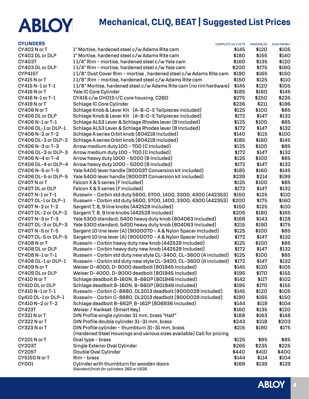| <b>CYLINDERS</b>     | <b>COMPLETE/W2KEYS</b>                                                                 |       | <b>ASSEMBLED</b> | <b>SUB/ASMBLY</b> |
|----------------------|----------------------------------------------------------------------------------------|-------|------------------|-------------------|
| CY402 N or T         | 1" Mortise, hardened steel c/w Adams Rite cam                                          | \$145 | \$120            | \$105             |
| CY402 DL or DLP      | 1" Mortise, hardened steel c/w Adams Rite cam                                          | \$180 | \$155            | \$140             |
| <b>CY403T</b>        | 11/4" Rim - mortise, hardened steel c/w Yale cam                                       | \$160 | \$135            | \$120             |
| CY403 DL or DLP      | 11/4" Rim - mortise, hardened steel c/w Yale cam                                       | \$200 | \$175            | \$160             |
| <b>CYP415T</b>       | 11/8" Dust Cover Rim - mortise, hardened steel c/w Adams Rite cam                      | \$190 | \$165            | \$150             |
| CY415 N or T         | 11/8" Rim - mortise, hardened steel c/w Adams Rite cam                                 | \$150 | \$125            | \$110             |
| CY415 N-1 or T-1     | 11/8" Mortise, hardened steel c/w Adams Rite cam (no rim hardware)                     | \$145 | \$120            | \$105             |
| CY416 N or T         | Yale IC Core Cylinder                                                                  | \$185 | \$160            | \$145             |
| CY416 N-1 or T-1     | CY416 c/w CH015 I/C core housing, C26D                                                 | \$275 | \$250            | \$235             |
| CY419 N or T         | Schlage IC Core Cylinder                                                               | \$236 | \$211            | \$196             |
| CY406 N or T         | Schlage Knob & Lever Kit (A-B-C-E Tailpieces included)                                 | \$125 | \$100            | \$85              |
| CY406 DL or DLP      | Schlage Knob & Lever Kit (A-B-C-E Tailpieces included)                                 | \$172 | \$147            | \$132             |
| CY406 N-1 or T-1     | Schlage AL53 Lever & Schlage Rhodes lever (B Included)                                 | \$125 | \$100            | \$85              |
| CY406 DL-1 or DLP-1  | Schlage AL53 Lever & Schlage Rhodes lever (B Included)                                 | \$172 | \$147            | \$132             |
| CY406 N-2 or T-2     | Schlage A series Orbit knob (804219 Included)                                          | \$140 | \$115            | \$100             |
| CY406 DL-2 or DLP-2  | Schlage A series Orbit knob (804219 Included)                                          | \$185 | \$160            | \$145             |
| CY406 N-3 or T-3     | Arrow medium duty 100 - 700 (C Included)                                               | \$125 | \$100            | \$85              |
| CY406 DL-3 or DLP-3  | Arrow medium duty 100 - 700 (C Included)                                               | \$172 | \$147            | \$132             |
| CY406 N-4 or T-4     | Arrow heavy duty 1000 - 5000 (B Included)                                              | \$125 | \$100            | \$85              |
| CY406 DL-4 or DLP-4  | Arrow heavy duty 1000 - 5000 (B Included)                                              | \$172 | \$147            | \$132             |
| CY406 N-5 or T-5     | Yale 5400 lever handle (900037 Conversion kit included)                                | \$185 | \$160            | \$145             |
| CY406 DL-5 or DLP-5  | Yale 5400 lever handle (900037 Conversion kit included)                                | \$239 | \$214            | \$199             |
| CY407 N or T         | Falcon X & S series (F Included)                                                       | \$125 | \$100            | \$85              |
| CY407 DL or DLP      | Falcon X & S series (F Included)                                                       | \$172 | \$147            | \$132             |
| CY407 N-1 or T-1     | Russwin - Corbin std duty 5600, 5700, 1400, 3300, 4300 (442353)                        | \$150 | \$125            | \$110             |
| CY407 DL-1 or DLP-1  | Russwin - Corbin std duty 5600, 5700, 1400, 3300, 4300 (442353)                        | \$200 | \$175            | \$160             |
| CY407 N-2 or T-2     | Sargent 7, 8, 9 line knobs (442528 Included)                                           | \$150 | \$125            | \$110             |
| CY407 DL-2 or DLP-2  | Sargent 7, 8, 9 line knobs (442528 Included)                                           | \$205 | \$180            | \$165             |
| CY407 N-3 or T-3     | Yale 5300 standard, 5400 heavy duty knob (804063 Included)                             | \$168 | \$143            | \$128             |
| CY407 DL-3 or DLP-3  | Yale 5300 standard, 5400 heavy duty knob (804063 Included)                             | \$215 | \$190            | \$175             |
| CY407 N-5 or T-5     | Sargent 10 line lever (A) (9000070 - A & Nylon Spacer Included)                        | \$125 | \$100            | \$85              |
| CY407 DL-5 or DLP-5  | Sargent 10 line lever (A) (9000070 - A & Nylon Spacer Included)                        | \$172 | \$147            | \$132             |
| CY408 N or T         | Russwin - Corbin heavy duty new knob (442529 Included)                                 | \$125 | \$100            | \$85              |
| CY408 DL or DLP      | Russwin - Corbin heavy duty new knob (442529 Included)                                 | \$172 | \$147            | \$132             |
| CY408 N-1 or T-1     | Russwin - Corbin std duty new style CL-3400, CL-3600 (A included)                      | \$125 | \$100            | \$85              |
| CY408 DL-1 or DLP-1  | Russwin - Corbin std duty new style CL-3400, CL-3600 (A included)                      | \$172 | \$147            | \$132             |
| CY409 N or T         | Weiser D-4000, D-9000 deadbolt (801945 Included)                                       | \$145 | \$120            | \$105             |
| CY409 DL or DLP      | Weiser D-4000, D-9000 deadbolt (801945 Included)                                       | \$195 | \$170            | \$155             |
| CY410 N or T         | Schlage deadbolt B-160N, B-660P (801946 Included)                                      | \$142 | \$117            | \$102             |
| CY410 DL or DLP      | Schlage deadbolt B-160N, B-660P (801946 Included)                                      | \$195 | \$170            | \$155             |
| CY410 N-1 or T-1     | Russwin - Corbin C-8880, DL2013 deadbolt (9000029 Included)                            | \$145 | \$120            | \$105             |
| Cy410 DL-1 or DLP-1  | Russwin - Corbin C-8880, DL2013 deadbolt (9000029 Included)                            | \$190 | \$165            | \$150             |
| CY410 N-2 or T-2     | Schlage deadbolt B-662P, B-162P (806936 Included)                                      | \$144 | \$119            | \$104             |
| <b>CY423T</b>        | Weiser / Kwikset (Smart Key)                                                           | \$160 | \$135            | \$120             |
| CY321 N or T         | DIN Profile single cylinder 31 mm, brass "Half"                                        | \$188 | \$163            | \$148             |
| CY322 N or T         | DIN Profile double cylinder 31-31 mm, brass                                            | \$243 | \$218            | \$203             |
| CY323 N or T         | DIN Profile cylinder - thumbturn 31-31 mm, brass                                       | \$215 | \$190            | \$175             |
|                      | (Hardened Steel Housings and various sizes available) Call for pricing                 |       |                  |                   |
| CY201N or T          | Oval type - brass                                                                      | \$125 | \$95             | \$85              |
| <b>CY203T</b>        | Single Exterior Oval Cylinder                                                          | \$265 | \$235            | \$225             |
| <b>CY205T</b>        | Double Oval Cylinder                                                                   | \$440 | \$410            | \$400             |
| <b>CY5150 N or T</b> | Rim - brass                                                                            | \$144 | \$114            | \$104             |
| CY001                | Cylinder with thumbturn for wooden doors<br>Standard finish for cylinders 26D or US26. | \$169 | \$139            | \$129             |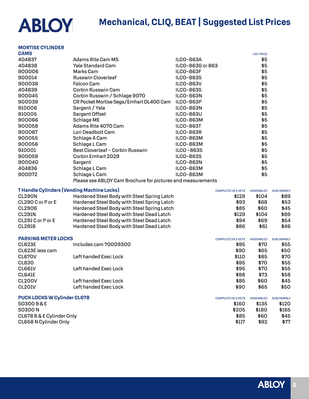#### **MORTISE CYLINDER**

| <b>CAMS</b> |                                                             |                  | <b>LIST PRICE</b> |
|-------------|-------------------------------------------------------------|------------------|-------------------|
| 404837      | Adams Rite Cam MS                                           | <b>ILCO-863A</b> | \$5               |
| 404838      | <b>Yale Standard Cam</b>                                    | ILCO-863G or 863 | \$5               |
| 900006      | Marks Cam                                                   | <b>ILCO-863F</b> | \$5               |
| 900014      | Russwin Cloverleaf                                          | <b>ILCO-863S</b> | \$5               |
| 900038      | <b>Falcon Cam</b>                                           | <b>ILCO-863V</b> | \$5               |
| 404839      | Corbin Russwin Cam                                          | <b>ILCO-863S</b> | \$5               |
| 900045      | Corbin Russwin / Schlage 9070                               | <b>ILCO-863N</b> | \$5               |
| 900039      | CR Pocket Mortise Sega/Emhart DL400 Cam                     | <b>ILCO-863P</b> | \$5               |
| 910006      | Sargent / Yale                                              | <b>ILCO-863N</b> | \$5               |
| 910005      | Sargent Offset                                              | <b>ILCO-863U</b> | \$5               |
| 900066      | Schlage ME                                                  | <b>ILCO-863M</b> | \$5               |
| 900058      | Adams Rite 4070 Cam                                         | <b>ILCO-863T</b> | \$5               |
| 900067      | Lori Deadbolt Cam                                           | <b>ILCO-863R</b> | \$5               |
| 900055      | Schlage A Cam                                               | <b>ILCO-863M</b> | \$5               |
| 900056      | Schlage L Cam                                               | <b>ILCO-863M</b> | \$5               |
| 910001      | Best Cloverleaf - Corbin Russwin                            | <b>ILCO-863S</b> | \$5               |
| 900059      | Corbin Emhart 2029                                          | <b>ILCO-863S</b> | \$5               |
| 900040      | Sargent                                                     | <b>ILCO-863N</b> | \$5               |
| 404836      | Schlage L Cam                                               | <b>ILCO-863M</b> | \$5               |
| 900072      | Schlage L Cam                                               | <b>ILCO-863M</b> | \$5               |
|             | Please see ABLOY Cam Brochure for pictures and measurements |                  |                   |

| <b>THandle Cylinders (Vending Machine Locks)</b> |                                             | <b>COMPLETE/W2KEYS</b> | <b>ASSEMBLED</b> | <b>SUB/ASMBLY</b> |
|--------------------------------------------------|---------------------------------------------|------------------------|------------------|-------------------|
| CL290N                                           | Hardened Steel Body with Steel Spring Latch | \$129                  | \$104            | \$89              |
| CL290 C or P or E                                | Hardened Steel Body with Steel Spring Latch | \$93                   | \$68             | \$53              |
| CL290B                                           | Hardened Steel Body with Steel Spring Latch | \$85                   | \$60             | \$45              |
| CL291N                                           | Hardened Steel Body with Steel Dead Latch   | \$129                  | \$104            | \$89              |
| CL291 C or P or E                                | Hardened Steel Body with Steel Dead Latch   | \$94                   | \$69             | \$54              |
| <b>CL291B</b>                                    | Hardened Steel Body with Steel Dead Latch   | \$86                   | \$61             | \$46              |

#### **PARKING METER LOCKS COMPLETE/W 2 KEYS ASSEMBLED** SUB/ASMBLY

| LANNIVY BELEK LOONS |                       | <b>UUIVIFLEI E/WZNETO</b> | <b>AOOLMDLED</b> | <b>SUD/HOMDLI</b> |
|---------------------|-----------------------|---------------------------|------------------|-------------------|
| CL623E              | Includes cam 70009300 | \$95                      | \$70             | \$55              |
| CL623E less cam     |                       | \$90                      | \$65             | \$50              |
| CL670V              | Left handed Exec Lock | \$110                     | \$85             | \$70              |
| CL830               |                       | \$95                      | \$70             | \$55              |
| CL661V              | Left handed Exec Lock | \$95                      | \$70             | \$55              |
| CL641E              |                       | \$98                      | \$73             | \$58              |
| CL <sub>20</sub> OV | Left handed Exec Lock | \$85                      | \$60             | \$45              |
| CL201V              | Left handed Exec Lock | \$90                      | \$65             | \$50              |
|                     |                       |                           |                  |                   |

| <b>PUCK LOCKS W Cylinder CL678</b> | <b>COMPLETE/W2KEYS</b> | <b>ASSEMBLED</b> | <b>SUB/ASMBLY</b> |
|------------------------------------|------------------------|------------------|-------------------|
| SO300 B & E                        | \$160                  | \$135            | \$120             |
| <b>SO300 N</b>                     | \$205                  | \$180            | \$165             |
| CL678 B & E Cylinder Only          | \$85                   | \$60             | \$45              |
| CL658 N Cylinder Only              | \$117                  | \$92             | \$77              |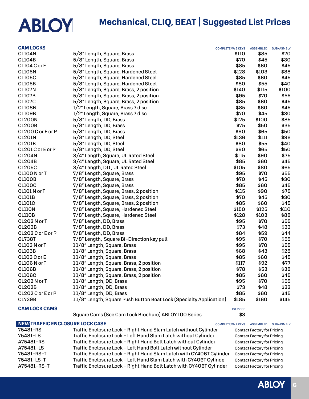## **ABLOY**

| 75481-LS                               | Traffic Enclosure Lock - Left Hand Slam Latch without Cylinder     |                        | <b>Contact Factory for Pricing</b> |                   |
|----------------------------------------|--------------------------------------------------------------------|------------------------|------------------------------------|-------------------|
| 75481-RS                               | Traffic Enclosure Lock - Right Hand Slam Latch without Cylinder    |                        | <b>Contact Factory for Pricing</b> |                   |
| <b>NEW TRAFFIC ENCLOSURE LOCK CASE</b> |                                                                    | COMPLETE/W 2 KEYS      | <b>ASSEMBLED</b>                   | SUB/ASMBLY        |
|                                        | Square Cams (See Cam Lock Brochure) ABLOY 100 Series               | \$3                    |                                    |                   |
| <b>CAM LOCK CAMS</b>                   |                                                                    | <b>LIST PRICE</b>      |                                    |                   |
|                                        |                                                                    |                        |                                    |                   |
| <b>CL729B</b>                          | 11/8" Length, Square Push Button Boat Lock (Specialty Application) | \$185                  | \$160                              | \$145             |
| CL202 C or E or P                      | 11/8" Length, DD, Brass                                            | \$85                   | \$60                               | \$45              |
| <b>CL202B</b>                          | 11/8" Length, DD, Brass                                            | \$73                   | \$48                               | \$33              |
| CL202 N or T                           | 11/8" Length, DD, Brass                                            | \$95                   | \$70                               | \$55              |
| <b>CL106C</b>                          | 11/8" Length, Square, Brass, 2 position                            | \$85                   | \$60                               | \$45              |
| CL106B                                 | 11/8" Length, Square, Brass, 2 position                            | \$78                   | \$53                               | \$38              |
| CL106 N or T                           | 11/8" Length, Square, Brass, 2 position                            | \$117                  | \$92                               | \$77              |
| CL103 C or E                           | 11/8" Length, Square, Brass                                        | \$85                   | \$60                               | \$45              |
| <b>CL103B</b>                          | 11/8" Length, Square, Brass                                        | \$68                   | \$43                               | \$28              |
| CL103 N or T                           | 11/8" Length, Square, Brass                                        | \$95                   | \$70                               | \$55              |
| <b>CL738T</b>                          | 7/8" Length, Square Bi-Direction key pull                          | \$95                   | \$70                               | \$55              |
| CL203 C or E or P                      | 7/8" Length, DD, Brass                                             | \$84                   | \$59                               | \$44              |
| <b>CL203B</b>                          | 7/8" Length, DD, Brass                                             | \$73                   | \$48                               | \$33              |
| CL203 N or T                           | 7/8" Length, DD, Brass                                             | \$95                   | \$70                               | \$55              |
| <b>CLIIOB</b>                          | 7/8" Length, Square, Hardened Steel                                | \$128                  | \$103                              | \$88              |
| CLIION                                 | 7/8" Length, Square, Hardened Steel                                | \$150                  | \$125                              | \$110             |
| CLIOIC                                 | 7/8" Length, Square, Brass, 2 position                             | \$85                   | \$60                               | \$45              |
| <b>CLIOIB</b>                          | 7/8" Length, Square, Brass, 2 position                             | \$70                   | \$45                               | \$30              |
| CLIO1 N or T                           | 7/8" Length, Square, Brass, 2 position                             | \$115                  | \$90                               | \$75              |
| <b>CL100C</b>                          | 7/8" Length, Square, Brass                                         | \$85                   | \$60                               | \$45              |
| <b>CLIOOB</b>                          | 7/8" Length, Square, Brass                                         | \$70                   | \$45                               | \$30              |
| CL100 N or T                           | 7/8" Length, Square, Brass                                         | \$95                   | \$70                               | \$55              |
| <b>CL205C</b>                          | 3/4" Length, DD, UL Rated Steel                                    | \$105                  | \$80                               | \$65              |
| <b>CL204B</b>                          | 3/4" Length, Square, UL Rated Steel                                | \$85                   | \$60                               | \$45              |
| <b>CL204N</b>                          | 3/4" Length, Square, UL Rated Steel                                | \$115                  | \$90                               | \$75              |
| CL201 C or E or P                      | 5/8" Length, DD, Steel                                             | \$90                   | \$65                               | \$50              |
| <b>CL201B</b>                          | 5/8" Length, DD, Steel                                             | \$80                   | \$55                               | \$40              |
| <b>CL201N</b>                          | 5/8" Length, DD, Steel                                             | \$136                  | \$111                              | \$96              |
| CL200 C or E or P                      | 5/8" Length, DD, Brass                                             | \$90                   | \$65                               | \$50              |
| <b>CL200B</b>                          | 5/8" Length, DD, Brass                                             | \$75                   | \$50                               | \$35              |
| <b>CL200N</b>                          | 5/8" Length, DD, Brass                                             | \$125                  | \$100                              | \$85              |
| CL109B                                 | 1/2" Length, Square, Brass 7 disc                                  | \$70                   | \$45                               | \$30              |
| CL108N                                 | 1/2" Length, Square, Brass 7 disc                                  | \$85                   | \$60                               | \$45              |
| <b>CL107C</b>                          | 5/8" Length, Square, Brass, 2 position                             | \$85                   | \$60                               | \$45              |
| <b>CL107B</b>                          | 5/8" Length, Square, Brass, 2 position                             | \$95                   | \$70                               | \$55              |
| <b>CL107N</b>                          | 5/8" Length, Square, Brass, 2 position                             | \$140                  | \$115                              | \$100             |
| CL105B                                 | 5/8" Length, Square, Hardened Steel                                | \$80                   | \$55                               | \$40              |
| <b>CL105C</b>                          | 5/8" Length, Square, Hardened Steel                                | \$85                   | \$60                               | \$45              |
| <b>CL105N</b>                          | 5/8" Length, Square, Hardened Steel                                | \$128                  | \$103                              | \$88              |
| CL104 C or E                           | 5/8" Length, Square, Brass<br>5/8" Length, Square, Brass           | \$70<br>\$85           | \$45<br>\$60                       | \$30<br>\$45      |
| <b>CL104N</b><br><b>CL104B</b>         | 5/8" Length, Square, Brass                                         | \$110                  | \$85                               | \$70              |
| <b>CAM LOCKS</b>                       |                                                                    | <b>COMPLETE/W2KEYS</b> | <b>ASSEMBLED</b>                   | <b>SUB/ASMBLY</b> |
|                                        |                                                                    |                        |                                    |                   |

**ABLOY**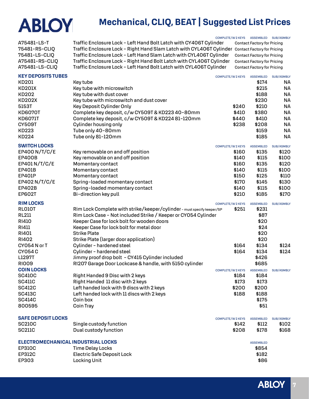### **Mechanical, CLIQ, BEAT | Suggested List Prices**

A75481-LS-T Traffic Enclosure Lock - Left Hand Bolt Latch with CY406T Cylinder Contact Factory for Pricing 75481-RS-CLIQ Traffic Enclosure Lock - Right Hand Slam Latch with CYL406T Cylinder Contact Factory for Pricing 75481-LS-CLIQ Traffic Enclosure Lock - Left Hand Slam Latch with CYL406T Cylinder Contact Factory for Pricing A75481-RS-CLIQ Traffic Enclosure Lock - Right Hand Bolt Latch with CYL406T Cylinder Contact Factory for Pricing

COMPLETE/W 2 KEYS ASSEMBLED SUB/ASMBLY

| A75481-LS-CLIQ                     | Traffic Enclosure Lock - Left Hand Bolt Latch with CYL406T Cylinder    |                        | <b>Contact Factory for Pricing</b> |                   |
|------------------------------------|------------------------------------------------------------------------|------------------------|------------------------------------|-------------------|
| <b>KEY DEPOSITS TUBES</b>          |                                                                        | <b>COMPLETE/W2KEYS</b> | <b>ASSEMBLED</b>                   | <b>SUB/ASMBLY</b> |
| KD201                              | Key tube                                                               |                        | \$174                              | NА                |
| <b>KD201X</b>                      | Key tube with microswitch                                              |                        | \$215                              | NА                |
| KD202                              | Key tube with dust cover                                               |                        | \$188                              | <b>NA</b>         |
| <b>KD202X</b>                      | Key tube with microswitch and dust cover                               |                        | \$230                              | <b>NA</b>         |
| 5153T                              | <b>Key Deposit Cylinder Only</b>                                       | \$240                  | \$210                              | <b>NA</b>         |
| <b>KD6070T</b>                     | Complete key deposit, c/w CY509T & KD223 40-80mm                       | \$410                  | \$380                              | <b>NA</b>         |
| <b>KD6071T</b>                     | Complete key deposit, c/w CY509T & KD224 81-120mm                      | \$440                  | \$410                              | <b>NA</b>         |
| <b>CY509T</b>                      | Cylinder housing only                                                  | \$238                  | \$208                              | <b>NA</b>         |
| <b>KD223</b>                       | Tube only 40-80mm                                                      |                        | \$159                              | <b>NA</b>         |
| <b>KD224</b>                       | Tube only 81-120mm                                                     |                        | \$185                              | <b>NA</b>         |
| <b>SWITCH LOCKS</b>                |                                                                        | <b>COMPLETE/W2KEYS</b> | <b>ASSEMBLED</b>                   | <b>SUB/ASMBLY</b> |
| EP400 N/T/C/E                      | Key removable on and off position                                      | \$160                  | \$135                              | \$120             |
| <b>EP400B</b>                      | Key removable on and off position                                      | \$140                  | \$115                              | \$100             |
| EP401 N/T/C/E                      | Momentary contact                                                      | \$160                  | \$135                              | \$120             |
| <b>EP401B</b>                      | Momentary contact                                                      | \$140                  | \$115                              | \$100             |
| <b>EP401P</b>                      | Momentary contact                                                      | \$150                  | \$125                              | \$110             |
| EP402 N/T/C/E                      | Spring-loaded momentary contact                                        | \$170                  | \$145                              | \$130             |
| <b>EP402B</b>                      | Spring-loaded momentary contact                                        | \$140                  | \$115                              | \$100             |
| <b>EP602T</b>                      | Bi-direction key pull                                                  | \$210                  | \$185                              | \$170             |
| <b>RIM LOCKS</b>                   |                                                                        | <b>COMPLETE/W2KEYS</b> | <b>ASSEMBLED</b>                   | <b>SUB/ASMBLY</b> |
| <b>RLO10T</b>                      | Rim Lock Complete with strike/keeper/cylinder - must specify keeper/SP | \$251                  | \$231                              |                   |
| <b>RL211</b>                       | Rim Lock Case - Not included Strike / Keeper or CY054 Cylinder         |                        | \$87                               |                   |
| <b>RI410</b>                       | Keeper Case for lock bolt for wooden doors                             |                        | \$20                               |                   |
| <b>RI411</b>                       | Keeper Case for lock bolt for metal door                               |                        | \$24                               |                   |
| <b>RI401</b>                       | <b>Strike Plate</b>                                                    |                        | \$20                               |                   |
| <b>RI402</b>                       | Strike Plate (larger door application)                                 |                        | \$20                               |                   |
| CY054 N or T                       | Cylinder - hardened steel                                              | \$164                  | \$134                              | \$124             |
| <b>CY054C</b>                      | Cylinder - hardened steel                                              | \$164                  | \$134                              | \$124             |
| L1297T                             | Jimmy proof drop bolt - CY415 Cylinder included                        |                        | \$426                              |                   |
| <b>RIOO9</b>                       | RI207 Garage Door Lockcase & handle, with 5150 cylinder                |                        | \$685                              |                   |
| <b>COIN LOCKS</b>                  |                                                                        | <b>COMPLETE/W2KEYS</b> | <b>ASSEMBLED</b>                   | <b>SUB/ASMBLY</b> |
| <b>SC410C</b>                      | Right Handed 9 Disc with 2 keys                                        | \$184                  | \$184                              |                   |
| <b>SC411C</b>                      | Right Handed 11 disc with 2 keys                                       | \$173                  | \$173                              |                   |
| <b>SC412C</b>                      | Left handed lock with 9 discs with 2 keys                              | \$200                  | \$200                              |                   |
| <b>SC413C</b>                      | Left handed lock with 11 discs with 2 keys                             | \$188                  | \$188                              |                   |
| <b>SC414C</b>                      | Coin box                                                               |                        | \$175                              |                   |
| 800595                             | <b>Coin Tray</b>                                                       |                        | \$51                               |                   |
| <b>SAFE DEPOSIT LOCKS</b>          |                                                                        |                        |                                    |                   |
| <b>SC210C</b>                      | Single custody function                                                | <b>COMPLETE/W2KEYS</b> | <b>ASSEMBLED</b>                   | <b>SUB/ASMBLY</b> |
| <b>SC211C</b>                      | Dual custody function                                                  | \$142                  | \$112                              | \$102             |
|                                    |                                                                        | \$208                  | \$178                              | \$168             |
| ELECTROMECHANICAL INDUSTRIAL LOCKS |                                                                        |                        | <b>ASSEMBLED</b>                   |                   |
| <b>EP310C</b>                      | <b>Time Delay Locks</b>                                                |                        | \$854                              |                   |
| <b>EP312C</b>                      | <b>Electric Safe Deposit Lock</b>                                      |                        | \$182                              |                   |
| EP303                              | <b>Locking Unit</b>                                                    |                        | \$86                               |                   |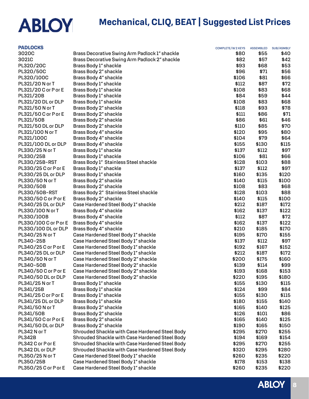## **Mechanical, CLIQ, BEAT | Suggested List Prices**

| <b>PADLOCKS</b>       |                                                | <b>COMPLETE/W2KEYS</b> | <b>ASSEMBLED</b> | <b>SUB/ASMBLY</b> |
|-----------------------|------------------------------------------------|------------------------|------------------|-------------------|
| 3020C                 | Brass Decorative Swing Arm Padlock 1" shackle  | \$80                   | \$55             | \$40.             |
| 3021C                 | Brass Decorative Swing Arm Padlock 2" shackle  | \$82                   | \$57             | \$42              |
| PL320/20C             | Brass Body 1" shackle                          | \$93                   | \$68             | \$53              |
| PL320/50C             | Brass Body 2" shackle                          | \$96                   | \$71             | \$56              |
| PL320/100C            | Brass Body 4" shackle                          | \$106                  | \$81             | \$66              |
| PL321/20 N or T       | Brass Body 1" shackle                          | \$112                  | \$87             | \$72              |
| PL321/20 C or P or E  | Brass Body 1" shackle                          | \$108                  | \$83             | \$68              |
| PL321/20B             | Brass Body 1" shackle                          | \$84                   | \$59             | \$44              |
| PL321/20 DL or DLP    | Brass Body 1" shackle                          | \$108                  | \$83             | \$68              |
| PL321/50 N or T       | Brass Body 2" shackle                          | \$118                  | \$93             | \$78              |
| PL321/50 C or P or E  | Brass Body 2" shackle                          | \$111                  | \$86             | \$71              |
| PL321/50B             | Brass Body 2" shackle                          | \$86                   | \$61             | \$46              |
| PL321/50 DL or DLP    | Brass Body 2" shackle                          | \$110                  | \$85             | \$70              |
| PL321/100 N or T      | Brass Body 4" shackle                          | \$120                  | \$95             | \$80              |
| PL321/100C            | Brass Body 4" shackle                          | \$104                  | \$79             | \$64              |
| PL321/100 DL or DLP   | Brass Body 4" shackle                          | \$155                  | \$130            | \$115             |
| PL330/25 N or T       | Brass Body 1" shackle                          | \$137                  | \$112            | \$97              |
| PL330/25B             | Brass Body 1" shackle                          | \$106                  | \$81             | \$66              |
| PL330/25B-RST         | Brass Body 1" Stainless Steel shackle          | \$128                  | \$103            | \$88              |
| PL330/25 C or P or E  | Brass Body 1" shackle                          | \$137                  | \$112            | \$97              |
| PL330/25 DL or DLP    | Brass Body 1" shackle                          | \$160                  | \$135            | \$120             |
| PL330/50 N or T       | Brass Body 2" shackle                          | \$140                  | \$115            | \$100             |
| PL330/50B             | Brass Body 2" shackle                          | \$108                  | \$83             | \$68              |
| PL330/50B-RST         | Brass Body 2" Stainless Steel shackle          | \$128                  | \$103            | \$88              |
| PL330/50 C or P or E  | Brass Body 2" shackle                          | \$140                  | \$115            | \$100             |
| PL340/25 DL or DLP    | Case Hardened Steel Body 1" shackle            | \$212                  | \$187            | \$172             |
| PL330/100 N or T      | Brass Body 4" shackle                          | \$162                  | \$137            | \$122             |
| PL330/100B            | Brass Body 4" shackle                          | \$112                  | \$87             | \$72              |
| PL330/100 C or P or E | Brass Body 4" shackle                          | \$162                  | \$137            | \$122             |
| PL330/100 DL or DLP   | Brass Body 4" shackle                          | \$210                  | \$185            | \$170             |
| PL340/25 N or T       | Case Hardened Steel Body 1" shackle            | \$195                  | \$170            | \$155             |
| PL340-25B             | Case Hardened Steel Body 1" shackle            | \$137                  | \$112            | \$97              |
| PL340/25 C or P or E  | Case Hardened Steel Body 1" shackle            | \$192                  | \$167            | \$152             |
| PL340/25 DL or DLP    | Case Hardened Steel Body 1" shackle            | \$212                  | \$187            | \$172             |
| PL340/50 N or T       | Case Hardened Steel Body 2" shackle            | \$200                  | \$175            | \$160             |
| PL340-50B             | Case Hardened Steel Body 2" shackle            | \$139                  | \$114            | \$99              |
| PL340/50 C or P or E  | Case Hardened Steel Body 2" shackle            | \$193                  | \$168            | \$153             |
| PL340/50 DL or DLP    | Case Hardened Steel Body 2" shackle            | \$220                  | \$195            | \$180             |
| PL341/25 N or T       | Brass Body 1" shackle                          | \$155                  | \$130            | \$115             |
| PL341/25B             | Brass Body 1" shackle                          | \$124                  | \$99             | \$84              |
| PL341/25 C or P or E  | Brass Body 1" shackle                          | \$155                  | \$130            | \$115             |
| PL341/25 DL or DLP    | Brass Body 1" shackle                          | \$180                  | \$155            | \$140             |
| PL341/50 N or T       | Brass Body 2" shackle                          | \$165                  | \$140            | \$125             |
| PL341/50B             | Brass Body 2" shackle                          | \$126                  | \$101            | \$86              |
| PL341/50 C or P or E  | Brass Body 2" shackle                          | \$165                  | \$140            | \$125             |
| PL341/50 DL or DLP    | Brass Body 2" shackle                          | \$190                  | \$165            | \$150             |
| PL342 N or T          | Shrouded Shackle with Case Hardened Steel Body | \$295                  | \$270            | \$255             |
| <b>PL342B</b>         | Shrouded Shackle with Case Hardened Steel Body | \$194                  | \$169            | \$154             |
| PL342 C or P or E     | Shrouded Shackle with Case Hardened Steel Body | \$295                  | \$270            | \$255             |
| PL342 DL or DLP       | Shrouded Shackle with Case Hardened Steel Body | \$320                  | \$295            | \$280             |
| PL350/25 N or T       | Case Hardened Steel Body 1" shackle            | \$260                  | \$235            | \$220             |
| PL350/25B             | Case Hardened Steel Body 1" shackle            | \$178                  | \$153            | \$138             |
| PL350/25 C or P or E  | Case Hardened Steel Body 1" shackle            | \$260                  | \$235            | \$220             |
|                       |                                                |                        |                  |                   |

**ABLOY**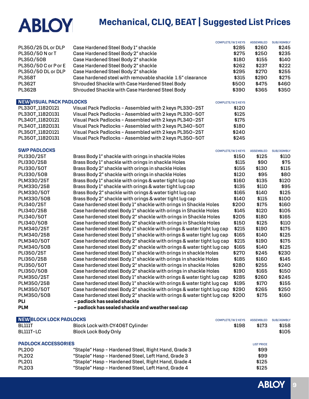### **Mechanical, CLIQ, BEAT | Suggested List Prices**

|                                 |                                                                       | COMPLETE/W 2 KEYS      | <b>ASSEMBLED</b>  | <b>SUB/ASMBLY</b> |
|---------------------------------|-----------------------------------------------------------------------|------------------------|-------------------|-------------------|
| PL350/25 DL or DLP              | Case Hardened Steel Body 1" shackle                                   | \$285                  | \$260             | \$245             |
| PL350/50 N or T                 | Case Hardened Steel Body 2" shackle                                   | \$275                  | \$250             | \$235             |
| PL350/50B                       | Case Hardened Steel Body 2" shackle                                   | \$180                  | \$155             | \$140             |
| PL350/50 C or P or E            | Case Hardened Steel Body 2" shackle                                   | \$262                  | \$237             | \$222             |
| PL350/50 DL or DLP              | Case Hardened Steel Body 2" shackle                                   | \$295                  | \$270             | \$255             |
| <b>PL358T</b>                   | Case hardened steel with removable shackle 1.5" clearance             | \$315                  | \$290             | \$275             |
| <b>PL362T</b>                   | Shrouded Shackle with Case Hardened Steel Body                        | \$500                  | \$475             | \$460             |
| <b>PL362B</b>                   |                                                                       | \$390                  | \$365             | \$350             |
|                                 | Shrouded Shackle with Case Hardened Steel Body                        |                        |                   |                   |
| <b>NEW VISUAL PACK PADLOCKS</b> |                                                                       | <b>COMPLETE/W2KEYS</b> |                   |                   |
| PL330T_11820121                 | Visual Pack Padlocks - Assembled with 2 keys PL330-25T                | \$120                  |                   |                   |
| PL330T_11820131                 | Visual Pack Padlocks - Assembled with 2 keys PL330-50T                | \$125                  |                   |                   |
| PL340T_11820121                 | Visual Pack Padlocks - Assembled with 2 keys PL340-25T                | \$175                  |                   |                   |
|                                 |                                                                       | \$180                  |                   |                   |
| PL340T_11820131                 | Visual Pack Padlocks - Assembled with 2 keys PL340-50T                |                        |                   |                   |
| PL350T_11820121                 | Visual Pack Padlocks - Assembled with 2 keys PL350-25T                | \$240                  |                   |                   |
| PL350T_11820131                 | Visual Pack Padlocks - Assembled with 2 keys PL350-50T                | \$245                  |                   |                   |
| <b>SWP PADLOCKS</b>             |                                                                       | <b>COMPLETE/W2KEYS</b> | <b>ASSEMBLED</b>  | <b>SUB/ASMBLY</b> |
| PLI330/25T                      | Brass Body 1" shackle with orings in shackle Holes                    | \$150                  | \$125             | \$110             |
| PLI330/25B                      |                                                                       | \$115                  | \$90              | \$75              |
|                                 | Brass Body 1" shackle with orings in shackle Holes                    |                        |                   |                   |
| PLI330/50T                      | Brass Body 2" shackle with orings in shackle Holes                    | \$155                  | \$130             | \$115             |
| PLI330/50B                      | Brass Body 2" shackle with orings in shackle Holes                    | \$120                  | \$95              | \$80              |
| PLM330/25T                      | Brass Body 1" shackle with orings & water tight lug cap               | \$160                  | \$135             | \$120             |
| PLM330/25B                      | Brass Body 1" shackle with orings & water tight lug cap               | \$135                  | \$110             | \$95              |
| PLM330/50T                      | Brass Body 2" shackle with orings & water tight lug cap               | \$165                  | \$140             | \$125             |
| PLM330/50B                      | Brass Body 2" shackle with orings & water tight lug cap               | \$140                  | \$115             | \$100             |
| PLI340/25T                      | Case hardened steel Body 1" shackle with orings in Shackle Holes      | \$200                  | \$175             | \$160             |
| PLI340/25B                      | Case hardened steel Body 1" shackle with orings in Shackle Holes      | \$145                  | \$120             | \$105             |
| PLI340/50T                      | Case hardened steel Body 2" shackle with orings in Shackle Holes      | \$205                  | \$180             | \$165             |
| PLI340/50B                      | Case hardened steel Body 2" shackle with orings in Shackle Holes      | \$150                  | \$125             | \$110             |
| PLM340/25T                      | Case hardened steel Body 1" shackle with orings & water tight lug cap | \$215                  | \$190             | \$175             |
| PLM340/25B                      | Case hardened steel Body 1" shackle with orings & water tight lug cap | \$165                  | \$140             | \$125             |
| PLM340/50T                      | Case hardened steel Body 2" shackle with orings & water tight lug cap | \$215                  | \$190             | \$175             |
| PLM340/50B                      | Case hardened steel Body 2" shackle with orings & water tight lug cap | \$165                  | \$140             | \$125             |
| PLI350/25T                      | Case hardened steel Body 1" shackle with orings in shackle Holes      | \$270                  | \$245             | \$230             |
| PLI350/25B                      |                                                                       | \$185                  | \$160             | \$145             |
|                                 | Case hardened steel Body 1" shackle with orings in shackle Holes      |                        |                   |                   |
| PLI350/50T                      | Case hardened steel Body 2" shackle with orings in shackle Holes      | \$280                  | \$255             | \$240             |
| PLI350/50B                      | Case hardened steel Body 2" shackle with orings in shackle Holes      | \$190                  | \$165             | \$150             |
| PLM350/25T                      | Case hardened steel Body 1" shackle with orings & water tight lug cap | \$285                  | \$260             | \$245             |
| PLM350/25B                      | Case hardened steel Body 1" shackle with orings & water tight lug cap | \$195                  | \$170             | \$155             |
| <b>PLM350/50T</b>               | Case hardened steel Body 2" shackle with orings & water tight lug cap | \$290                  | \$265             | \$250             |
| PLM350/50B                      | Case hardened steel Body 2" shackle with orings & water tight lug cap | \$200                  | \$175             | \$160             |
| <b>PLI</b>                      | - padlock has sealed shackle                                          |                        |                   |                   |
| <b>PLM</b>                      | - padlock has sealed shackle and weather seal cap                     |                        |                   |                   |
|                                 |                                                                       |                        |                   |                   |
| <b>NEW BLOCK LOCK PADLOCKS</b>  |                                                                       | <b>COMPLETE/W2KEYS</b> | <b>ASSEMBLED</b>  | <b>SUB/ASMBLY</b> |
| <b>BLIIIT</b>                   | Block Lock with CY406T Cylinder                                       | \$198                  | \$173             | \$158             |
| <b>BLIIIT-LC</b>                | <b>Block Lock Body Only</b>                                           |                        |                   | \$105             |
| <b>PADLOCK ACCESSORIES</b>      |                                                                       |                        |                   |                   |
| <b>PL200</b>                    |                                                                       |                        | <b>LIST PRICE</b> |                   |
|                                 | "Staple" Hasp - Hardened Steel, Right Hand, Grade 3                   |                        | \$99              |                   |
| <b>PL202</b>                    | "Staple" Hasp - Hardened Steel, Left Hand, Grade 3                    |                        | \$99              |                   |
| <b>PL201</b>                    | "Staple" Hasp - Hardened Steel, Right Hand, Grade 4                   |                        | \$125             |                   |
| <b>PL203</b>                    | "Staple" Hasp - Hardened Steel, Left Hand, Grade 4                    |                        | \$125             |                   |

**ABLOY 9**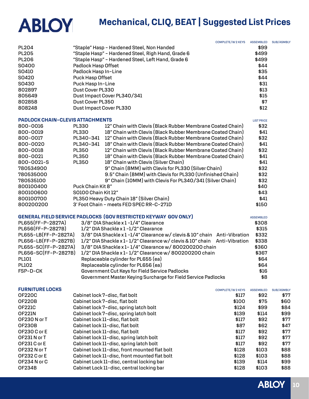## **Mechanical, CLIQ, BEAT | Suggested List Prices**

|                                         |                         | <b>COMPLETE/W2KEYS</b>                                                   | <b>ASSEMBLED</b>  | <b>SUB/ASMBLY</b> |
|-----------------------------------------|-------------------------|--------------------------------------------------------------------------|-------------------|-------------------|
| <b>PL204</b>                            |                         | "Staple" Hasp - Hardened Steel, Non Handed                               | \$99              |                   |
| <b>PL205</b>                            |                         | "Staple Hasp" - Hardened Steel, Righ Hand, Grade 6                       | \$499             |                   |
| <b>PL206</b>                            |                         | "Staple Hasp" - Hardened Steel, Left Hand, Grade 6                       | \$499             |                   |
| S0400                                   | Padlock Hasp Offset     |                                                                          | \$44              |                   |
| S0410                                   | Padlock Hasp In-Line    |                                                                          | \$35              |                   |
| SO420                                   | Puck Hasp Offset        |                                                                          | \$44              |                   |
| SO430                                   | Puck Hasp In-Line       |                                                                          | \$31              |                   |
| 802897                                  | Dust Cover PL330        |                                                                          | \$13              |                   |
| 805649                                  |                         | Dust Impact Cover PL340/341                                              | \$15              |                   |
| 802858                                  | Dust Cover PL350        |                                                                          | \$7               |                   |
| 808248                                  | Dust Impact Cover PL330 |                                                                          | \$12              |                   |
| <b>PADLOCK CHAIN-CLEVIS ATTACHMENTS</b> |                         |                                                                          | <b>LIST PRICE</b> |                   |
| 800-0016                                | <b>PL330</b>            | 12" Chain with Clevis (Black Rubber Membrane Coated Chain)               | \$32              |                   |
| 800-0019                                | <b>PL330</b>            | 18" Chain with Clevis (Black Rubber Membrane Coated Chain)               | \$41              |                   |
| 800-0017                                | PL340-341               | 12" Chain with Clevis (Black Rubber Membrane Coated Chain)               | \$32              |                   |
| 800-0020                                | PL340-341               | 18" Chain with Clevis (Black Rubber Membrane Coated Chain)               | \$41              |                   |
| 800-0018                                | PL350                   | 12" Chain with Clevis (Black Rubber Membrane Coated Chain)               | \$32              |                   |
| 800-0021                                | <b>PL350</b>            | 18" Chain with Clevis (Black Rubber Membrane Coated Chain)               | \$41              |                   |
| 800-0021-S                              | <b>PL350</b>            | 18" Chain with Clevis (Silver Chain)                                     | \$41              |                   |
| 780534900                               |                         | 9" Chain (8MM) with Clevis for PL330 (Silver Chain)                      | \$32              |                   |
| 780535000                               |                         | 9.5" Chain (8MM) with Clevis for PL330 (Unfinished Chain)                | \$32              |                   |
| 780535100                               |                         | 9" Chain (10MM) with Clevis For PL340/341 (Silver Chain)                 | \$32              |                   |
| 800100400                               | Puck Chain Kit 8"       |                                                                          | \$40              |                   |
| 800100600                               | SO100 Chain Kit 12"     |                                                                          | \$43              |                   |
| 800100700                               |                         | PL350 Heavy Duty Chain 18" (Silver Chain)                                | \$41              |                   |
| 800200200                               |                         | 3' Foot Chain - meets FED SPEC RR-C-271D                                 | \$150             |                   |
|                                         |                         | GENERAL FIELD SERVICE PADLOCKS (GOV RESTRICTED KEYWAY GOV ONLY)          | <b>ASSEMBLED</b>  |                   |
| PL655(FF-P-2827A)                       |                         | 3/8" DIA Shackle x 1-1/4" Clearance                                      | \$308             |                   |
| PL656(FF-P-2827B)                       |                         | 1/2" DIA Shackle x 1-1/2" Clearance                                      | \$315             |                   |
| PL655-LB(FF-P-2827A)                    |                         | 3/8" DIA Shackle x 1-1/4" Clearance w/ clevis & 10" chain Anti-Vibration | \$332             |                   |
| PL656-LB(FF-P-2827B)                    |                         | 1/2" DIA Shackle x 1-1/2" Clearance w/ clevis & 10" chain Anti-Vibration | \$338             |                   |
| PL655-SC(FF-P-2827A)                    |                         | 3/8" DIA Shackle x 1-1/4" Clearance w/ 800200200 chain                   | \$360             |                   |
| PL656-SC(FF-P-2827B)                    |                         | 1/2" DIA Shackle x 1-1/2" Clearance w/800200200 chain                    | \$367             |                   |
| <b>PL101</b>                            |                         | Replaceable cylinder for PL655 (ea)                                      | \$64              |                   |
| <b>PL102</b>                            |                         | Replaceable cylinder for PL656 (ea)                                      | \$64              |                   |
| FSP-D-CK                                |                         | Government Cut Keys for Field Service Padlocks                           | \$16              |                   |
|                                         |                         | Government Master Keying Surcharge for Field Service Padlocks            | \$8               |                   |
| <b>FURNITURE LOCKS</b>                  |                         | <b>COMPLETE/W2KEYS</b>                                                   | <b>ASSEMBLED</b>  | <b>SUB/ASMBLY</b> |
| <b>OF220C</b>                           |                         | Cabinet lock 7-disc, flat bolt<br>\$117                                  | \$92              | \$77              |
| <b>OF220B</b>                           |                         | Cabinet lock 7-disc, flat bolt<br>\$100                                  | \$75              | \$60              |
| <b>OF221C</b>                           |                         | Cabinet lock 7-disc, spring latch bolt<br>\$124                          | \$99              | \$84              |
| <b>OF221N</b>                           |                         | Cabinet lock 7-disc, spring latch bolt<br>\$139                          | \$114             | \$99              |
| OF230 N or T                            |                         | Cabinet lock 11-disc, flat bolt<br>\$117                                 | \$92              | \$77              |
| <b>OF230B</b>                           |                         | Cabinet lock 11-disc, flat bolt<br>\$87                                  | \$62              | \$47              |
| OF230 C or E                            |                         | Cabinet lock 11-disc, flat bolt<br>\$117                                 | \$92              | \$77              |
| OF231 N or T                            |                         | Cabinet lock 11-disc, spring latch bolt<br>\$117                         | \$92              | \$77              |
| OF231 C or E                            |                         | Cabinet lock 11-disc, spring latch bolt<br>\$117                         | \$92              | \$77              |
| OF232 N or T                            |                         | Cabinet lock 11-disc, front mounted flat bolt<br>\$128                   | \$103             | \$88              |
| OF232 C or E                            |                         | Cabinet lock 11-disc, front mounted flat bolt<br>\$128                   | \$103             | \$88              |
| OF234 N or C                            |                         | Cabinet Lock 11-disc, central locking bar<br>\$139                       | \$114             | \$99              |
| <b>OF234B</b>                           |                         | Cabinet Lock 11-disc, central locking bar<br>\$128                       | \$103             | \$88              |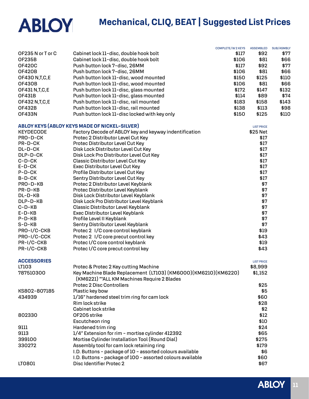|                    |                                                                  | <b>COMPLETE/W2KEYS</b> | <b>ASSEMBLED</b>  | <b>SUB/ASMBLY</b> |
|--------------------|------------------------------------------------------------------|------------------------|-------------------|-------------------|
| OF235 N or T or C  | Cabinet lock 11-disc, double hook bolt                           | \$117                  | \$92              | \$77              |
| <b>OF235B</b>      | Cabinet lock 11-disc, double hook bolt                           | \$106                  | \$81              | \$66              |
| <b>OF420C</b>      | Push button lock 7-disc, 26MM                                    | \$117                  | \$92              | \$77              |
| <b>OF420B</b>      | Push button lock 7-disc, 26MM                                    | \$106                  | \$81              | \$66              |
| OF430 N, T, C, E   | Push button lock 11-disc, wood mounted                           | \$150                  | \$125             | \$110             |
| <b>OF430B</b>      | Push button lock 11-disc, wood mounted                           | \$106                  | \$81              | \$66              |
| OF431 N, T, C, E   | Push button lock 11-disc, glass mounted                          | \$172                  | \$147             | \$132             |
| <b>OF431B</b>      | Push button lock 11-disc, glass mounted                          | \$114                  | \$89              | \$74              |
| OF432 N, T, C, E   | Push button lock 11-disc, rail mounted                           | \$183                  | \$158             | \$143             |
| <b>OF432B</b>      | Push button lock 11-disc, rail mounted                           | \$138                  | \$113             | \$98              |
| <b>OF433N</b>      | Push button lock 11-disc locked with key only                    | \$150                  | \$125             | \$110             |
|                    |                                                                  |                        |                   |                   |
|                    | <b>ABLOY KEYS (ABLOY KEYS MADE OF NICKEL-SILVER)</b>             |                        | <b>LIST PRICE</b> |                   |
| <b>KEYDECODE</b>   | Factory Decode of ABLOY key and keyway indentification           |                        | \$25 Net          |                   |
| PRO-D-CK           | Protec 2 Distributor Level Cut Key                               |                        | \$17              |                   |
| PR-D-CK            | Protec Distributor Level Cut Key                                 |                        | \$17              |                   |
| DL-D-CK            | Disk Lock Distributor Level Cut Key                              |                        | \$17              |                   |
| DLP-D-CK           | Disk Lock Pro Distributor Level Cut Key                          |                        | \$17              |                   |
| C-D-CK             | <b>Classic Distributor Level Cut Key</b>                         |                        | \$17              |                   |
| $E-D-CK$           | Exec Distributor Level Cut Key                                   |                        | \$17              |                   |
| P-D-CK             | Profile Distributor Level Cut Key                                |                        | \$17              |                   |
| B-D-CK             | Sentry Distributor Level Cut Key                                 |                        | \$17              |                   |
| PRO-D-KB           | Protec 2 Distributor Level Keyblank                              |                        | \$7               |                   |
| PR-D-KB            | Protec Distributor Level Keyblank                                |                        | \$7               |                   |
| DL-D-KB            | Disk Lock Distributor Level Keyblank                             |                        | \$7               |                   |
| DLP-D-KB           | Disk Lock Pro Distributor Level Keyblank                         |                        | \$7               |                   |
| $C-D-KB$           | Classic Distributor Level Keyblank                               |                        | \$7               |                   |
| $E-D-KB$           | Exec Distributor Level Keyblank                                  |                        | \$7               |                   |
| $P-D-KB$           | Profile Level II Keyblank                                        |                        | \$7               |                   |
| $S-D-KB$           | Sentry Distributor Level Keyblank                                |                        | \$7               |                   |
| PRO-I/C-CKB        | Protec 2 I/C core control keyblank                               |                        | \$19              |                   |
| PRO-I/C-CCK        | Protec 2 I/C core precut control key                             |                        | \$43              |                   |
| PR-I/C-CKB         | Protec I/C core control keyblank                                 |                        | \$19              |                   |
| PR-I/C-CKB         | Protec I/C core precut control key                               |                        | \$43              |                   |
|                    |                                                                  |                        |                   |                   |
| <b>ACCESSORIES</b> |                                                                  |                        | <b>LIST PRICE</b> |                   |
| LT103              | Protec & Protec 2 Key cutting Machine                            |                        | \$8,999           |                   |
| 787510300          | Key Machine Blade Replacement (LT103) (KM6000) (KM6210) (KM6220) |                        | \$1,152           |                   |
|                    | (KM6221) ** ALL KM Machines Require 2 Blades                     |                        |                   |                   |
|                    | <b>Protec 2 Disc Controllers</b>                                 |                        | \$25              |                   |
| KS802-807185       | Plastic key bow                                                  |                        | \$5               |                   |
|                    |                                                                  |                        |                   |                   |
| 434939             | 1/16" hardened steel trim ring for cam lock                      |                        | \$60              |                   |
|                    | Rim lock strike                                                  |                        | \$28              |                   |
|                    | Cabinet lock strike                                              |                        | \$2               |                   |
| 802330             | OF205 strike                                                     |                        | \$12              |                   |
|                    | Escutcheon ring                                                  |                        | \$10              |                   |
| 9111               | Hardened trim ring                                               |                        | \$24              |                   |
| 9113               | 1/4" Extension for rim - mortise cylinder 412392                 |                        | \$65              |                   |
| 399100             | Mortise Cylinder Installation Tool (Round Dial)                  |                        | \$275             |                   |
| 330272             | Assembly tool for cam lock retaining ring                        |                        | \$179             |                   |
|                    | I.D. Buttons - package of 10 - assorted colours available        |                        | \$6               |                   |
|                    | I.D. Buttons - package of 100 - assorted colours available       |                        | \$60              |                   |
| LT0801             | Disc Identifier Protec 2                                         |                        | \$67              |                   |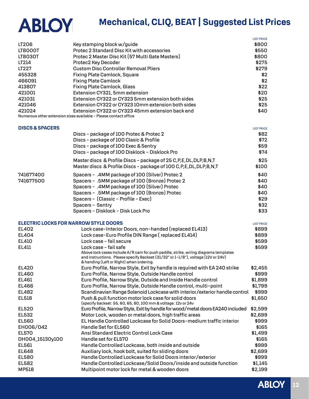|                                              |                                                                                                              | <b>LIST PRICE</b> |
|----------------------------------------------|--------------------------------------------------------------------------------------------------------------|-------------------|
| LT206                                        | Key stamping block w/guide                                                                                   | \$800             |
| <b>LT8000T</b>                               | Protec 2 Standard Disc Kit with accessories                                                                  | \$550             |
| LT8030T                                      | Protec 2 Master Disc Kit (57 Multi Gate Masters)                                                             | \$800             |
| LT214                                        | Protec2 Key Decoder                                                                                          | \$275             |
| LT227                                        | <b>Custom Disc Controller Removal Pliers</b>                                                                 | \$279             |
| 455328                                       | Fixing Plate Camlock, Square                                                                                 | \$2               |
| 466091                                       | <b>Fixing Plate Camlock</b>                                                                                  | \$2               |
| 413807                                       | <b>Fixing Plate Camlock, Glass</b>                                                                           | \$22              |
| 421001                                       | Extension CY321, 5mm extension                                                                               | \$20              |
| 421031                                       | Extension CY322 or CY323 5mm extension both sides                                                            | \$25              |
| 421046                                       | Extension CY322 or CY323 10mm extension both sides                                                           | \$25              |
| 421024                                       | Extension CY322 or CY323 45mm extension back end                                                             | \$40              |
|                                              | Numerous other extension sizes available - Please contact office                                             |                   |
| <b>DISCS &amp; SPACERS</b>                   |                                                                                                              | <b>LIST PRICE</b> |
|                                              | Discs - package of 100 Protec & Protec 2                                                                     | \$82              |
|                                              | Discs - package of 100 Clasic & Profile                                                                      | \$72              |
|                                              | Discs - package of 100 Exec & Sentry                                                                         | \$59              |
|                                              | Discs - package of 100 Disklock - Disklock Pro                                                               | \$74              |
|                                              | Master discs & Profile Discs - package of 25 C, P, E, DL, DLP, B, N, T                                       | \$25              |
|                                              | Master discs & Profile Discs - package of 100 C, P, E, DL, DLP, B, N, T                                      | \$100             |
| 741677400                                    | Spacers - .4MM package of 100 (Silver) Protec 2                                                              | \$40              |
| 741677500                                    | Spacers - .5MM package of 100 (Bronze) Protec 2                                                              | \$40              |
|                                              | Spacers - .4MM package of 100 (Silver) Protec                                                                | \$40              |
|                                              | Spacers - .5MM package of 100 (Bronze) Protec                                                                | \$40              |
|                                              | Spacers - (Classic - Profile - Exec)                                                                         | \$29              |
|                                              | Spacers - Sentry                                                                                             | \$32              |
|                                              | Spacers - Disklock - Disk Lock Pro                                                                           | \$33              |
|                                              |                                                                                                              |                   |
| <b>ELECTRIC LOCKS FOR NARROW STYLE DOORS</b> |                                                                                                              | <b>LIST PRICE</b> |
| EL402                                        | Lock case-Interior Doors, non-handed (replaced EL413)                                                        | \$899             |
| EL404                                        | Lock case-Euro Profile DIN Range (replaced EL414)                                                            | \$899             |
| EL410                                        | Lock case - fail secure                                                                                      | \$599             |
| EL411                                        | Lock case - fail safe<br>Above lock cases include A/R cam for push paddle, strike, wiring diagrams templates | \$599             |
|                                              | and instructions. Please specify Backset (31/32" or 1-1/8"), voltage (12V or 24V)                            |                   |
|                                              | & handing (Left or Right) when ordering.                                                                     |                   |
| EL420                                        | Euro Profile, Narrow Style, Exit by handle is required with EA 240 strike                                    | \$2,455           |
| EL460                                        | Euro Profile, Narrow Style, Outside Handle control                                                           | \$999             |
| EL461                                        | Euro Profile, Narrow Style, Outside and Inside Handle control                                                | \$1,899           |
| EL466                                        | Euro Profile, Narrow Style, Outside Handle control, multi-point                                              | \$1,799           |
| EL482                                        | Scandinavian Range Solenoid Lockcase with interior/exterior handle control                                   | \$999             |
| <b>EL518</b>                                 | Push & pull function motor lock case for solid doors                                                         | \$1,650           |
|                                              | (specify backset: 55, 60, 65, 80, 100 mm & voltage: 12v or 24v                                               |                   |
| EL520                                        | Euro Profile, Narrow Style, Exit by handle for wood/metal doors EA240 included                               | \$2,599           |
| EL532                                        | Motor Lock, wooden or metal doors, high traffic areas                                                        | \$2,699           |
| EL560                                        | EL Handle Controlled Lockcase for Solid Doors-medium traffic interior                                        | \$999             |
| EH006/042                                    | Handle Set for EL560                                                                                         | \$165             |
| <b>EL570</b>                                 | Ansi Standard Electric Control Lock Case                                                                     | \$1,499           |
| DH004_15130y100                              | Handle set for EL570                                                                                         | \$165             |
| EL561                                        | Handle Controlled Lockcase, both inside and outside                                                          | \$999             |
| <b>EL648</b>                                 | Auxiliary lock, hook bolt, suited for sliding doors                                                          | \$2,699           |
| <b>EL580</b>                                 | Handle Controlled Lockcase for Solid Doors interior/exterior                                                 | \$999             |
| EL582                                        | Handle Controlled Lockcase/Solid Doors/inside and outside function                                           | \$1,145           |
| <b>MP518</b>                                 | Multipoint motor lock for metal & wooden doors                                                               | \$2,199           |

**ABLOY**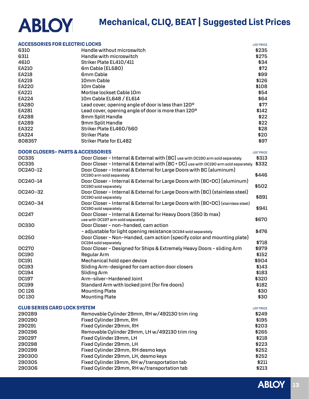| <b>ABLOY</b> |
|--------------|
|--------------|

| <b>ACCESSORIES FOR ELECTRIC LOCKS</b>        |                                                                                                           | <b>LIST PRICE</b> |
|----------------------------------------------|-----------------------------------------------------------------------------------------------------------|-------------------|
| 6310                                         | Handle without microswitch                                                                                | \$235             |
| 6311                                         | Handle with microswitch                                                                                   | \$275             |
| 4610                                         | Striker Plate EL410/411                                                                                   | \$34              |
| EA210                                        | 6m Cable (EL580)                                                                                          | \$72              |
| EA218                                        | 6mm Cable                                                                                                 | \$99              |
| EA219                                        | 10mm Cable                                                                                                | \$126             |
| EA220                                        | 10 <sub>m</sub> Cable                                                                                     | \$108             |
| EA221                                        | Mortise lockset Cable 10m                                                                                 | \$54              |
| EA224                                        | 10m Cable EL648 / EL614                                                                                   | \$64              |
| EA280                                        | Lead cover, opening angle of door is less than 120°                                                       | \$77              |
| EA281                                        | Lead cover, opening angle of door is more than 120°                                                       | \$142             |
| EA288                                        | 8mm Split Handle                                                                                          | \$22              |
| EA289                                        | 9mm Split Handle                                                                                          | \$22              |
| EA322                                        | Striker Plate EL460/560                                                                                   | \$28              |
| EA324                                        | <b>Striker Plate</b>                                                                                      | \$20              |
| 808357                                       | <b>Striker Plate for EL482</b>                                                                            | \$97              |
|                                              |                                                                                                           |                   |
| <b>DOOR CLOSERS- PARTS &amp; ACCESSORIES</b> |                                                                                                           | <b>LIST PRICE</b> |
| <b>DC335</b>                                 | Door Closer - Internal & External with (BC) use with DC190 arm sold separately                            | \$313             |
| <b>DC335</b>                                 | Door Closer - Internal & External with (BC + DC) use with DC190 arm sold separately \$332                 |                   |
| DC240-12                                     | Door Closer - Internal & External for Large Doors with BC (aluminum)<br>DC190 arm sold separately         | \$446             |
| DC240-14                                     | Door Closer - Internal & External for Large Doors with (BC+DC) (aluminum)<br>DC190 sold separately        | \$502             |
| DC240-32                                     | Door Closer - Internal & External for Large Doors with (BC) (stainless steel)<br>DC190 sold separately    | \$891             |
| DC240-34                                     | Door Closer - Internal & External for Large Doors with (BC+DC) (stainless steel)<br>DC190 sold separately | \$941             |
| DC247                                        | Door Closer - Internal & External for Heavy Doors (350 lb max)<br>use with DC197 arm sold separately      | \$670             |
| <b>DC330</b>                                 | Door Closer - non-handed, cam action                                                                      |                   |
|                                              | - adjustable for light opening resistance DC194 sold separately                                           | \$476             |
| <b>DC250</b>                                 | Door Closer - Non-Handed, cam action (specify color and mounting plate)<br>DC194 sold separately          | \$718             |
| <b>DC270</b>                                 | Door Closer - Designed for Ships & Extremely Heavy Doors - sliding Arm                                    | \$979             |
| <b>DC190</b>                                 | Regular Arm                                                                                               | \$152             |
| <b>DC191</b>                                 | Mechanical hold open device                                                                               | \$904             |
| <b>DC193</b>                                 | Sliding Arm-designed for cam action door closers                                                          | \$143             |
| DC194                                        | <b>Sliding Arm</b>                                                                                        | \$183             |
| <b>DC197</b>                                 | Arm-silver-Hardened Joint                                                                                 | \$320             |
| <b>DC199</b>                                 | Standard Arm with locked joint (for fire doors)                                                           | \$182             |
| <b>DC126</b>                                 | <b>Mounting Plate</b>                                                                                     | \$30              |
| <b>DC130</b>                                 | <b>Mounting Plate</b>                                                                                     | \$30              |
| <b>CLUB SERIES CARD LOCK SYSTEM</b>          |                                                                                                           | <b>LIST PRICE</b> |
| 290289                                       | Removable Cylinder 29mm, RH w/492130 trim ring                                                            | \$249             |
| 290290                                       | Fixed Cylinder 19mm, RH                                                                                   | \$195             |
| 290291                                       | Fixed Cylinder 29mm, RH                                                                                   | \$203             |
| 290296                                       | Removable Cylinder 29mm, LH w/492130 trim ring                                                            | \$265             |
| 290297                                       | Fixed Cylinder 19mm, LH                                                                                   | \$218             |
| 290298                                       | Fixed Cylinder 29mm, LH                                                                                   | \$223             |
| 290299                                       | Fixed Cylinder 29mm, RH desmo keys                                                                        | \$252             |
| 290300                                       | Fixed Cylinder 29mm, LH, desmo keys                                                                       | \$252             |
| 290305                                       | Fixed Cylinder 19mm, RH w/transportation tab                                                              | \$211             |
| 290306                                       | Fixed Cylinder 29mm, RH w/transportation tab                                                              | \$213             |
|                                              |                                                                                                           |                   |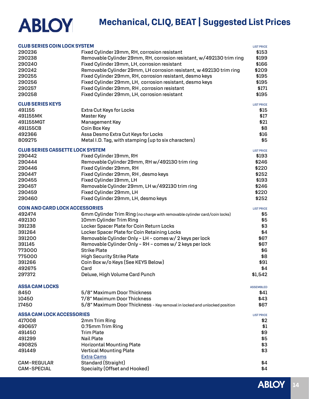| <b>CLUB SERIES COIN LOCK SYSTEM</b><br>290236 | Fixed Cylinder 19mm, RH, corrosion resistant                               | <b>LIST PRICE</b><br>\$153 |
|-----------------------------------------------|----------------------------------------------------------------------------|----------------------------|
| 290238                                        | Removable Cylinder 29mm, RH, corrosion resistant, w/492130 trim ring       | \$199                      |
| 290240                                        | Fixed Cylinder 19mm, LH, corrosion resistant                               | \$166                      |
| 290242                                        | Removable Cylinder 29mm, LH corrosion resistant, w 492130 trim ring        | \$209                      |
| 290255                                        | Fixed Cylinder 29mm, RH, corrosion resistant, desmo keys                   | \$195                      |
| 290256                                        | Fixed Cylinder 29mm, LH, corrosion resistant, desmo keys                   | \$195                      |
| 290257                                        | Fixed Cylinder 29mm, RH, corrosion resistant                               | \$171                      |
| 290258                                        | Fixed Cylinder 29mm, LH, corrosion resistant                               | \$195                      |
| <b>CLUB SERIES KEYS</b>                       |                                                                            | <b>LIST PRICE</b>          |
| 491155                                        | Extra Cut Keys for Locks                                                   | \$15                       |
| 491155MK                                      | Master Key                                                                 | \$17                       |
| 491155MGT                                     | Management Key                                                             | \$21                       |
| 491155CB                                      | Coin Box Key                                                               | \$8                        |
| 492366                                        | Assa Desmo Extra Cut Keys for Locks                                        | \$16                       |
| 809275                                        | Metal I.D. Tag, with stamping (up to six characters)                       | \$5                        |
| <b>CLUB SERIES CASSETTE LOCK SYSTEM</b>       |                                                                            | <b>LIST PRICE</b>          |
| 290442                                        | Fixed Cylinder 19mm, RH                                                    | \$193                      |
| 290444                                        | Removable Cylinder 29mm, RH w/492130 trim ring                             | \$246                      |
| 290446                                        | Fixed Cylinder 29mm, RH                                                    | \$220                      |
| 290447                                        | Fixed Cylinder 29mm, RH, desmo keys                                        | \$252                      |
| 290455                                        | Fixed Cylinder 19mm, LH                                                    | \$193                      |
| 290457                                        | Removable Cylinder 29mm, LH w/492130 trim ring                             | \$246                      |
| 290459                                        | Fixed Cylinder 29mm, LH                                                    | \$220                      |
| 290460                                        | Fixed Cylinder 29mm, LH, desmo keys                                        | \$252                      |
| <b>COIN AND CARD LOCK ACCESSORIES</b>         |                                                                            | <b>LIST PRICE</b>          |
| 492474                                        | 6mm Cylinder Trim Ring (no charge with removable cylinder card/coin locks) | \$5                        |
| 492130                                        | 10mm Cylinder Trim Ring                                                    | \$5                        |
| 391238                                        | Locker Spacer Plate for Coin Return Locks                                  | \$3                        |
| 391264                                        | Locker Spacer Plate for Coin Retaining Locks                               | \$4                        |
| 391200                                        | Removable Cylinder Only - LH - comes w/2 keys per lock                     | \$67                       |
| 391145                                        | Removable Cylinder Only - RH - comes w/2 keys per lock                     | \$67                       |
| 773000                                        | <b>Strike Plate</b>                                                        | \$6                        |
| 775000                                        | <b>High Security Strike Plate</b>                                          | \$8                        |
| 391266                                        | Coin Box w/o Keys (See KEYS Below)                                         | \$91                       |
| 492675                                        | Card                                                                       | \$4                        |
| 297372                                        | Deluxe, High Volume Card Punch                                             | \$1,542                    |
| <b>ASSA CAM LOCKS</b>                         |                                                                            | <b>ASSEMBLED</b>           |
| 8450                                          | 5/8" Maximum Door Thickness                                                | \$41                       |
| 10450                                         | 7/8" Maximum Door Thickness                                                | \$43                       |
| 17450                                         | 5/8" Maximum Door Thickness - Key removal in locked and unlocked position  | \$67                       |
| <b>ASSA CAM LOCK ACCESSORIES</b>              |                                                                            | <b>LIST PRICE</b>          |
| 417008                                        | 2mm Trim Ring                                                              | \$2                        |
| 490657                                        | 0.75mm Trim Ring                                                           | \$1                        |
| 491450                                        | <b>Trim Plate</b>                                                          | \$9                        |
| 491299                                        | <b>Nail Plate</b>                                                          | \$5                        |
| 490825                                        | <b>Horizontal Mounting Plate</b>                                           | \$3                        |
| 491449                                        | <b>Vertical Mounting Plate</b>                                             | \$3                        |
|                                               | <b>Extra Cams</b>                                                          |                            |
| CAM-REGULAR                                   | Standard (Straight)                                                        | \$4                        |
| <b>CAM-SPECIAL</b>                            | Specialty (Offset and Hooked)                                              | \$4                        |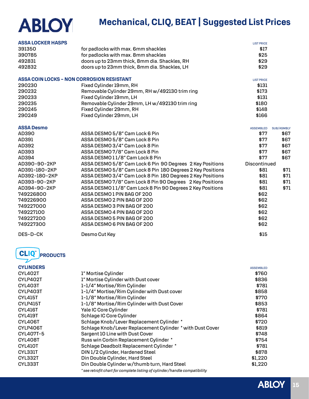| <b>ASSA LOCKER HASPS</b>                         |                                                                           | <b>LIST PRICE</b> |                   |
|--------------------------------------------------|---------------------------------------------------------------------------|-------------------|-------------------|
| 391350                                           | for padlocks with max. 6mm shackles                                       | \$17              |                   |
| 390785                                           | for padlocks with max. 8mm shackles                                       | \$25              |                   |
| 492831                                           | doors up to 23mm thick, 8mm dia. Shackles, RH                             | \$29              |                   |
| 492832                                           | doors up to 23mm thick, 8mm dia. Shackles, LH                             | \$29              |                   |
| <b>ASSA COIN LOCKS - NON CORROSION RESISTANT</b> |                                                                           | <b>LIST PRICE</b> |                   |
| 290230                                           | Fixed Cylinder 19mm, RH                                                   | \$131             |                   |
| 290232                                           | Removable Cylinder 29mm, RH w/492130 trim ring                            | \$173             |                   |
| 290233                                           | Fixed Cylinder 19mm, LH                                                   | \$131             |                   |
| 290235                                           | Removable Cylinder 29mm, LH w/492130 trim ring                            | \$180             |                   |
| 290245                                           | Fixed Cylinder 29mm, RH                                                   | \$148             |                   |
| 290249                                           | Fixed Cylinder 29mm, LH                                                   | \$166             |                   |
|                                                  |                                                                           |                   |                   |
| <b>ASSA Desmo</b>                                |                                                                           | <b>ASSEMBLED</b>  | <b>SUB/ASMBLY</b> |
| AD390                                            | ASSA DESMO 5/8" Cam Lock 6 Pin                                            | \$77              | \$67              |
| AD391                                            | ASSA DESMO 5/8" Cam Lock 8 Pin                                            | \$77              | \$67              |
| AD392                                            | ASSA DESMO 3/4" Cam Lock 8 Pin                                            | \$77              | \$67              |
| AD393                                            | ASSA DESMO 7/8" Cam Lock 8 Pin                                            | \$77              | \$67              |
| AD394                                            | ASSA DESMO11/8" Cam Lock 8 Pin                                            | \$77              | \$67              |
| AD390-90-2KP                                     | ASSA DESMO 5/8" Cam Lock 6 Pin 90 Degrees 2 Key Positions                 | Discontinued      |                   |
| AD391-180-2KP                                    | ASSA DESMO 5/8" Cam Lock 8 Pin 180 Degrees 2 Key Positions                | \$81              | \$71              |
| AD392-180-2KP                                    | ASSA DESMO 3/4" Cam Lock 8 Pin 180 Degrees 2 Key Positions                | \$81              | \$71              |
| AD393-90-2KP                                     | ASSA DESMO 7/8" Cam Lock 8 Pin 90 Degrees 2 Key Positions                 | \$81              | \$71              |
| AD394-90-2KP                                     | ASSA DESMO11/8" Cam Lock 8 Pin 90 Degrees 2 Key Positions                 | \$81              | \$71              |
| 749226800                                        | ASSA DESMO1 PIN BAG OF 200                                                | \$62              |                   |
| 749226900                                        | ASSA DESMO 2 PIN BAG OF 200                                               | \$62              |                   |
| 749227000                                        | ASSA DESMO 3 PIN BAG OF 200                                               | \$62              |                   |
| 749227100                                        | ASSA DESMO 4 PIN BAG OF 200                                               | \$62              |                   |
| 749227200                                        | ASSA DESMO 5 PIN BAG OF 200                                               | \$62              |                   |
| 749227300                                        | ASSA DESMO 6 PIN BAG OF 200                                               | \$62              |                   |
| DES-D-CK                                         | Desmo Cut Key                                                             | \$15              |                   |
| <b>CLIQ®</b><br><b>PRODUCTS</b>                  |                                                                           |                   |                   |
| <b>CYLINDERS</b>                                 |                                                                           | <b>ASSEMBLED</b>  |                   |
| <b>CYL402T</b>                                   | 1" Mortise Cylinder                                                       | \$760             |                   |
| CYLP402T                                         | 1" Mortise Cylinder with Dust cover                                       | \$836             |                   |
| <b>CYL403T</b>                                   | 1-1/4" Mortise/Rim Cylinder                                               | \$781             |                   |
| CYLP403T                                         | 1-1/4" Mortise/Rim Cylinder with Dust cover                               | \$858             |                   |
| <b>CYL415T</b>                                   | 1-1/8" Mortise/Rim Cylinder                                               | \$770             |                   |
| <b>CYLP415T</b>                                  | 1-1/8" Mortise/Rim Cylinder with Dust Cover                               | \$853             |                   |
| <b>CYL416T</b>                                   | Yale IC Core Cylinder                                                     | \$781             |                   |
| <b>CYL419T</b>                                   | Schlage IC Core Cylinder                                                  | \$864             |                   |
| <b>CYL406T</b>                                   | Schlage Knob/Lever Replacement Cylinder *                                 | \$720             |                   |
| CYLP406T                                         | Schlage Knob/Lever Replacement Cylinder * with Dust Cover                 | \$819             |                   |
| CYL407T-5                                        | Sargent 10 Line with Dust Cover                                           | \$748             |                   |
| CYL408T                                          | Russ win Corbin Replacement Cylinder *                                    | \$754             |                   |
| <b>CYL410T</b>                                   | Schlage Deadbolt Replacement Cylinder *                                   | \$781             |                   |
| CYL331T                                          | DIN 1/2 Cylinder, Hardened Steel                                          | \$878             |                   |
| CYL332T                                          | Din Double Cylinder, Hard Steel                                           | \$1,220           |                   |
| CYL333T                                          | Din Double Cylinder w/thumb turn, Hard Steel                              | \$1,220           |                   |
|                                                  | *see retrofit chart for complete listing of cylinder/handle compatibility |                   |                   |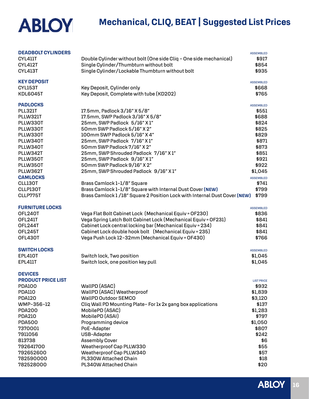| <b>DEADBOLT CYLINDERS</b><br><b>CYL411T</b> | Double Cylinder without bolt (One side Cliq - One side mechanical)        | <b>ASSEMBLED</b><br>\$917 |
|---------------------------------------------|---------------------------------------------------------------------------|---------------------------|
| <b>CYL412T</b>                              | Single Cylinder/Thumbturn without bolt                                    | \$854                     |
| <b>CYL413T</b>                              | Single Cylinder/Lockable Thumbturn without bolt                           | \$935                     |
| <b>KEY DEPOSIT</b>                          |                                                                           | <b>ASSEMBLED</b>          |
| CYL153T                                     | Key Deposit, Cylinder only                                                | \$668                     |
| <b>KDL6045T</b>                             | Key Deposit, Complete with tube (KD202)                                   | \$765                     |
| <b>PADLOCKS</b>                             |                                                                           | <b>ASSEMBLED</b>          |
| <b>PLL321T</b>                              | 17.5mm, Padlock 3/16" X 5/8"                                              | \$551                     |
| PLLW321T                                    | 17.5mm, SWP Padlock 3/16" X 5/8"                                          | \$688                     |
| PLLW330T                                    | 25mm, SWP Padlock 5/16" X1"                                               | \$824                     |
| PLLW330T<br>PLLW330T                        | 50mm SWP Padlock 5/16" X 2"<br>100mm SWP Padlock 5/16" X 4"               | \$825<br>\$829            |
| PLLW340T                                    | 25mm, SWP Padlock 7/16" X1"                                               | \$871                     |
| PLLW340T                                    | 50mm SWP Padlock 7/16" X 2"                                               | \$873                     |
| PLLW342T                                    | 25mm, SWP Shrouded Padlock 7/16" X1"                                      | \$851                     |
| PLLW350T                                    | 25mm, SWP Padlock 9/16" X1"                                               | \$921                     |
| PLLW350T                                    | 50mm SWP Padlock 9/16" X 2"                                               | \$922                     |
| PLLW362T                                    | 25mm, SWP Shrouded Padlock 9/16" X1"                                      | \$1,045                   |
| <b>CAMLOCKS</b>                             |                                                                           | <b>ASSEMBLED</b>          |
| CLL130T                                     | Brass Camlock 1-1/8" Square                                               | \$741                     |
| CLLP130T                                    | Brass Camlock 1-1/8" Square with Internal Dust Cover (NEW)                | \$799                     |
| CLLP775T                                    | Brass Camlock 1/18" Square 2 Position Lock with Internal Dust Cover (NEW) | \$799                     |
| <b>FURNITURE LOCKS</b>                      |                                                                           | <b>ASSEMBLED</b>          |
| OFL240T                                     | Vega Flat Bolt Cabinet Lock (Mechanical Equiv = OF230)                    | \$836                     |
| OFL241T                                     | Vega Spring Latch Bolt Cabinet Lock (Mechanical Equiv = OF231)            | \$841                     |
| OFL244T                                     | Cabinet Lock central locking bar (Mechanical Equiv = 234)                 | \$841                     |
| OFL245T                                     | Cabinet Lock double hook bolt (Mechanical Equiv = 235)                    | \$841                     |
| OFL430T                                     | Vega Push Lock 12-32mm (Mechanical Equiv = OF430)                         | \$766                     |
| <b>SWITCH LOCKS</b>                         |                                                                           | <b>ASSEMBLED</b>          |
| <b>EPL410T</b>                              | Switch lock, Two position                                                 | \$1,045                   |
| <b>EPL411T</b>                              | Switch lock, one position key pull                                        | \$1,045                   |
|                                             |                                                                           |                           |
| <b>DEVICES</b><br><b>PRODUCT PRICE LIST</b> |                                                                           | <b>LIST PRICE</b>         |
| <b>PDA100</b>                               | WallPD (ASAC)                                                             | \$932                     |
| <b>PDA110</b>                               | WallPD (ASAC) Weatherproof                                                | \$1,839                   |
| <b>PDA120</b>                               | <b>WallPD Outdoor SEMCO</b>                                               | \$3,120                   |
| WMP-356-12                                  | Cliq Wall PD Mounting Plate-For 1x 2x gang box applications               | \$137                     |
| <b>PDA200</b>                               | MobilePD (ASAC)                                                           | \$1,283                   |
| <b>PDA210</b>                               | MobilePD (ASAI)                                                           | \$797                     |
| <b>PDA500</b>                               | Programming device                                                        | \$1,050                   |
| 7370001                                     | PoE-Adapter                                                               | \$807                     |
| 7911056                                     | USB-Adapter                                                               | \$242                     |
| 813738                                      | <b>Assembly Cover</b>                                                     | \$6                       |
| 792641700                                   | Weatherproof Cap PLLW330                                                  | \$55                      |
| 792652600                                   | Weatherproof Cap PLLW340                                                  | \$57                      |
| 782590000                                   | PL330W Attached Chain                                                     | \$18                      |
| 782528000                                   | PL340W Attached Chain                                                     | \$20                      |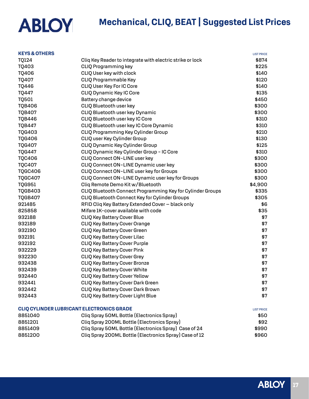### **Mechanical, CLIQ, BEAT | Suggested List Prices**

| <b>KEYS &amp; OTHERS</b> |                                                            | <b>LIST PRICE</b> |
|--------------------------|------------------------------------------------------------|-------------------|
| <b>TQ124</b>             | Cliq Key Reader to integrate with electric strike or lock  | \$874             |
| TQ403                    | <b>CLIQ Programming key</b>                                | \$225             |
| <b>TQ406</b>             | CLIQ User key with clock                                   | \$140             |
| <b>TO407</b>             | CLIQ Programmable Key                                      | \$120             |
| <b>TQ446</b>             | CLIQ User Key For IC Core                                  | \$140             |
| <b>TQ447</b>             | CLIQ Dynamic Key IC Core                                   | \$135             |
| <b>TQ501</b>             | Battery change device                                      | \$450             |
| <b>TQB406</b>            | CLIQ Bluetooth user key                                    | \$300             |
| <b>TQB407</b>            | CLIQ Bluetooth user key Dynamic                            | \$300             |
| <b>TQB446</b>            | CLIQ Bluetooth user key IC Core                            | \$310             |
| <b>TQB447</b>            | CLIQ Bluetooth user key IC Core Dynamic                    | \$310             |
| <b>TQG403</b>            | CLIQ Programming Key Cylinder Group                        | \$210             |
| <b>TQG406</b>            | CLIQ user Key Cylinder Group                               | \$130             |
| <b>TQG407</b>            | CLIQ Dynamic Key Cylinder Group                            | \$125             |
| <b>TQG447</b>            | CLIQ Dynamic Key Cylinder Group - IC Core                  | \$310             |
| <b>TQC406</b>            | CLIQ Connect ON-LINE user key                              | \$300             |
| <b>TQC407</b>            | CLIQ Connect ON-LINE Dynamic user key                      | \$300             |
| <b>TQGC406</b>           | CLIQ Connect ON-LINE user key for Groups                   | \$300             |
| <b>TQGC407</b>           | CLIQ Connect ON-LINE Dynamic user key for Groups           | \$300             |
| <b>TQG951</b>            | Cliq Remote Demo Kit w/Bluetooth                           | \$4,900           |
| <b>TQGB403</b>           | CLIQ Bluetooth Connect Programming Key for Cylinder Groups | \$335             |
| <b>TQGB407</b>           | CLIQ Bluetooth Connect Key for Cylinder Groups             | \$305             |
| 921485                   | RFID Cliq Key Battery Extended Cover - black only          | \$6               |
| 825858                   | Mifare 1K-cover available with code                        | \$35              |
| 932188                   | CLIQ Key Battery Cover Blue                                | \$7               |
| 932189                   | CLIQ Key Battery Cover Orange                              | \$7               |
| 932190                   | CLIQ Key Battery Cover Green                               | \$7               |
| 932191                   | CLIQ Key Battery Cover Lilac                               | \$7               |
| 932192                   | <b>CLIQ Key Battery Cover Purple</b>                       | \$7               |
| 932229                   | CLIQ Key Battery Cover Pink                                | \$7               |
| 932230                   | <b>CLIQ Key Battery Cover Grey</b>                         | \$7               |
| 932438                   | <b>CLIQ Key Battery Cover Bronze</b>                       | \$7               |
| 932439                   | CLIQ Key Battery Cover White                               | \$7               |
| 932440                   | <b>CLIQ Key Battery Cover Yellow</b>                       | \$7               |
| 932441                   | CLIQ Key Battery Cover Dark Green                          | \$7               |
| 932442                   | CLIQ Key Battery Cover Dark Brown                          | \$7               |
| 932443                   | CLIQ Key Battery Cover Light Blue                          | \$7               |
|                          | CLIQ CYLINDER LUBRICANT ELECTRONICS GRADE                  | <b>LIST PRICE</b> |
| 8851040                  | Cliq Spray 50ML Bottle (Electronics Spray)                 | \$50              |
| 8851201                  | Cliq Spray 200ML Bottle (Electronics Spray)                | \$92              |
| 8851409                  | Cliq Spray 50ML Bottle (Electronics Spray) Case of 24      | \$990             |

8851200 Cliq Spray 200ML Bottle (Electronics Spray) Case of 12 \$960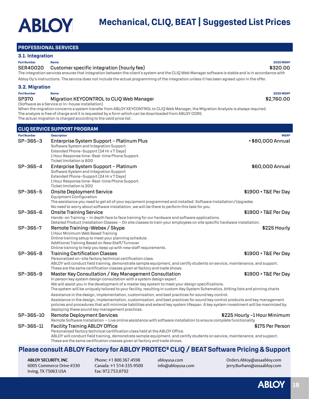#### **PROFESSIONAL SERVICES**

#### **3.1. Integration**

#### **Part Number Name 2020 MSRP**

#### SER40020 Customer specific integration (hourly fee) \$320.00

The integration services ensures that integration between the client's system and the CLIQ Web Manager software is stable and is in accordance with Abloy Oy's instructions. The service does not include the actual programming of the integration unless it has been agreed upon in the offer.

#### **3.2. Migration**

**Part Number Name 2020 MSRP**

#### SP370 Migration KEYCONTROL to CLIQ Web Manager  $$2,760.00$

(Software as a Service or In-house installation) When the migration concerns a system transfer from ABLOY KEYCONTROL to CLIQ Web Manager, the Migration Analysis is always required. The analysis is free of charge and it is requested by a form which can be downloaded from ABLOY CORE. The actual migration is charged according to the valid price list.

**CLIQ SERVICE SUPPORT PROGRAM Part Number Description MSRP** SP-365-3 Enterprise System Support - Platinum Plus + \$80,000 Annual + \$80,000 Annual Software System and Integration Support Extended Phone-Support (24 Hr x 7 Days) 1 Hour Response time-Real-time Phone Support. Ticket limitation is 800 SP-365-4 Enterprise System Support - Platinum **\$60,000 Annual** \$60,000 Annual Software System and Integration Support Extended Phone-Support (24 Hr x 7 Days) 1 Hour Response time-Real-time Phone Support. Ticket limitation is 200 SP-365-5 Onsite Deployment Service \$1900 + T&E Per Day Equipment Configuration The assistance you need to get all of your equipment programmed and installed. Software Installation/Upgrades No need to worry about software installation, we will be there to perform this task for you. SP-365-6 Onsite Training Service \$1900 + T&E Per Day Hands-on Training – In depth face to face training for our hardware and software applications. Detailed Product Installation Classes – On site classes to train your employees on site specific hardware installation. SP-365-7 Remote Training-Webex / Skype  $\blacksquare$ 1 Hour Minimum Web Based Training Online training setup to meet your planning schedule. Additional Training Based on New Staff/Turnover Online training to help you keep up with new staff requirements. SP-365-8 Training Certification Classes \$1900 + T&E Per Day Personalized on-site factory technical certification class. ABLOY will conduct field training, demonstrate sample equipment, and certify students on service, maintenance, and support. These are the same certification classes given at factory and trade shows. SP-365-9 Master Key Consultation / Key Management Consultation  $$1900 + T\&E$  Per Day In person key system design consultation with a system design expert. We will assist you in the development of a master key system to meet your design specifications. The system will be uniquely tailored to your facility, resulting in custom Key System Schematics, bitting lists and pinning charts Assistance in the design, implementation, customization, and best practices for sound key control. Assistance in the design, implementation, customization, and best practices for sound key control products and key management policies and procedures that will minimize liabilities and extend key system lifespan. A key system investment will be maximized by deploying these sound key management practices. SP-365-10 Remote Deployment Services \$225 Hourly -1 Hour Minimum Remote Software Installation – Live online assistance with software installation to ensure complete functionality SP-365-11 Facility Training ABLOY Office \$175 Per Person Personalized factory technical certification class held at the ABLOY Office. ABLOY will conduct field training, demonstrate sample equipment, and certify students on service, maintenance, and support. These are the same certification classes given at factory and trade shows.

### **Please consult ABLOY Factory for ABLOY PROTEC² CLIQ / BEAT Software Pricing & Support**

**ABLOY SECURITY, INC** 6005 Commerce Drive #330 Irving, TX 75063 USA

Phone: +1 800.367.4598 Canada: +1 514-335-9500 Fax: 972.753.0792

abloyusa.com info@abloyusa.com

Orders.Abloy@assaabloy.com Jerry.Burhans@assaabloy.com